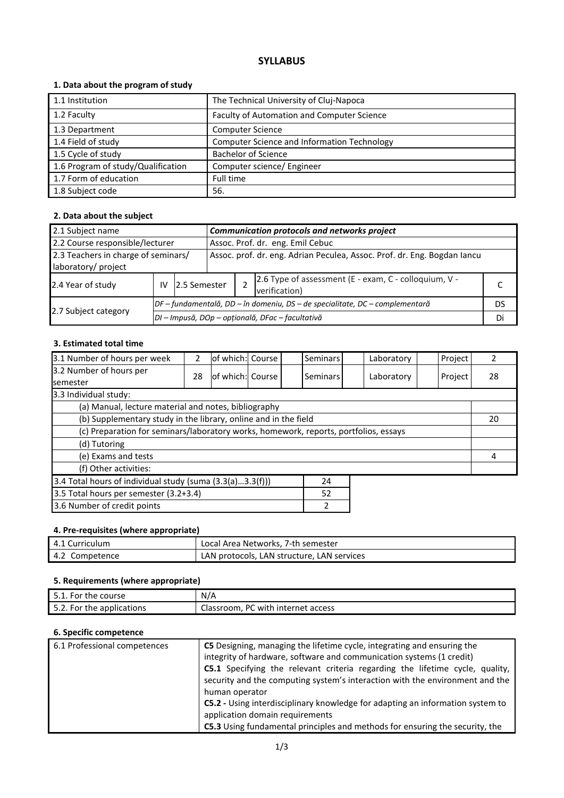# **SYLLABUS**

# **1. Data about the program of study**

| 1.1 Institution                    | The Technical University of Cluj-Napoca     |
|------------------------------------|---------------------------------------------|
| 1.2 Faculty                        | Faculty of Automation and Computer Science  |
| 1.3 Department                     | <b>Computer Science</b>                     |
| 1.4 Field of study                 | Computer Science and Information Technology |
| 1.5 Cycle of study                 | <b>Bachelor of Science</b>                  |
| 1.6 Program of study/Qualification | Computer science/ Engineer                  |
| 1.7 Form of education              | Full time                                   |
| 1.8 Subject code                   | 56.                                         |

# **2. Data about the subject**

| 2.1 Subject name                                                                                                                       |                                                                              |              |                                  | Communication protocols and networks project                           |  |    |  |  |
|----------------------------------------------------------------------------------------------------------------------------------------|------------------------------------------------------------------------------|--------------|----------------------------------|------------------------------------------------------------------------|--|----|--|--|
| 2.2 Course responsible/lecturer                                                                                                        |                                                                              |              | Assoc. Prof. dr. eng. Emil Cebuc |                                                                        |  |    |  |  |
| 2.3 Teachers in charge of seminars/<br>Assoc. prof. dr. eng. Adrian Peculea, Assoc. Prof. dr. Eng. Bogdan lancu<br>laboratory/ project |                                                                              |              |                                  |                                                                        |  |    |  |  |
| 2.4 Year of study                                                                                                                      | IV                                                                           | 2.5 Semester |                                  | 2.6 Type of assessment (E - exam, C - colloquium, V -<br>verification) |  |    |  |  |
|                                                                                                                                        | DF - fundamentală, DD - în domeniu, DS - de specialitate, DC - complementară |              |                                  |                                                                        |  | DS |  |  |
| 2.7 Subject category                                                                                                                   | DI - Impusă, DOp - opțională, DFac - facultativă                             |              |                                  |                                                                        |  | Di |  |  |

# **3. Estimated total time**

| 3.1 Number of hours per week                                                         | 2                                                    | of which: Course |  |  | Seminars        |  | Laboratory |   | Project |    |
|--------------------------------------------------------------------------------------|------------------------------------------------------|------------------|--|--|-----------------|--|------------|---|---------|----|
| 3.2 Number of hours per<br><b>semester</b>                                           | 28                                                   | of which: Course |  |  | <b>Seminars</b> |  | Laboratory |   | Project | 28 |
| 3.3 Individual study:                                                                |                                                      |                  |  |  |                 |  |            |   |         |    |
|                                                                                      | (a) Manual, lecture material and notes, bibliography |                  |  |  |                 |  |            |   |         |    |
| (b) Supplementary study in the library, online and in the field                      |                                                      |                  |  |  |                 |  | 20         |   |         |    |
| (c) Preparation for seminars/laboratory works, homework, reports, portfolios, essays |                                                      |                  |  |  |                 |  |            |   |         |    |
| (d) Tutoring                                                                         |                                                      |                  |  |  |                 |  |            |   |         |    |
| (e) Exams and tests                                                                  |                                                      |                  |  |  |                 |  |            | 4 |         |    |
| (f) Other activities:                                                                |                                                      |                  |  |  |                 |  |            |   |         |    |
| 3.4 Total hours of individual study (suma (3.3(a)3.3(f)))<br>24                      |                                                      |                  |  |  |                 |  |            |   |         |    |
| 3.5 Total hours per semester (3.2+3.4)<br>52                                         |                                                      |                  |  |  |                 |  |            |   |         |    |
| 3.6 Number of credit points<br>2                                                     |                                                      |                  |  |  |                 |  |            |   |         |    |

# **4. Pre-requisites (where appropriate)**

| 4.1 Curriculum | Local Area Networks, 7-th semester         |
|----------------|--------------------------------------------|
| 4.2 Competence | LAN protocols, LAN structure, LAN services |

# **5. Requirements (where appropriate)**

| 5.1. For the course       | N/A                                |
|---------------------------|------------------------------------|
| 5.2. For the applications | Classroom, PC with internet access |

### **6. Specific competence**

| 6.1 Professional competences | <b>C5</b> Designing, managing the lifetime cycle, integrating and ensuring the |
|------------------------------|--------------------------------------------------------------------------------|
|                              | integrity of hardware, software and communication systems (1 credit)           |
|                              | C5.1 Specifying the relevant criteria regarding the lifetime cycle, quality,   |
|                              | security and the computing system's interaction with the environment and the   |
|                              | human operator                                                                 |
|                              | C5.2 - Using interdisciplinary knowledge for adapting an information system to |
|                              | application domain requirements                                                |
|                              | C5.3 Using fundamental principles and methods for ensuring the security, the   |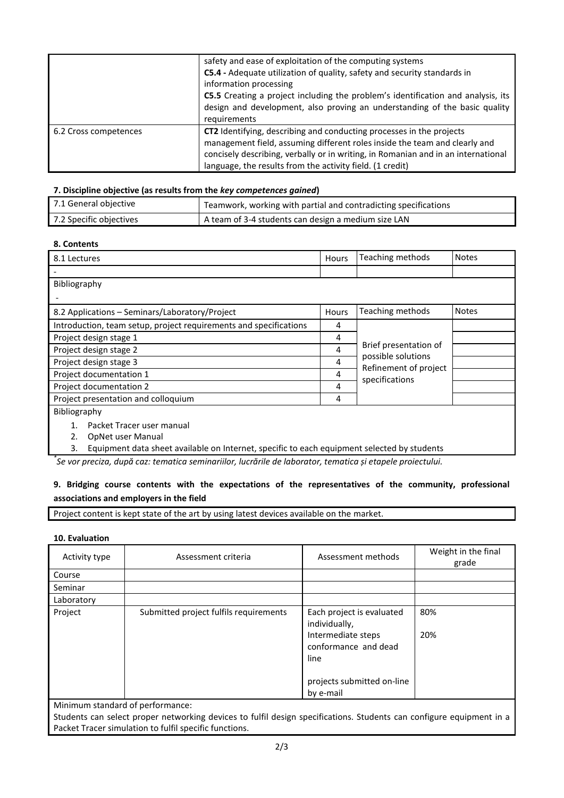|                       | safety and ease of exploitation of the computing systems<br>C5.4 - Adequate utilization of quality, safety and security standards in<br>information processing<br>C5.5 Creating a project including the problem's identification and analysis, its<br>design and development, also proving an understanding of the basic quality<br>requirements |
|-----------------------|--------------------------------------------------------------------------------------------------------------------------------------------------------------------------------------------------------------------------------------------------------------------------------------------------------------------------------------------------|
| 6.2 Cross competences | CT2 Identifying, describing and conducting processes in the projects<br>management field, assuming different roles inside the team and clearly and<br>concisely describing, verbally or in writing, in Romanian and in an international<br>language, the results from the activity field. (1 credit)                                             |

#### **7. Discipline objective (as results from the** *key competences gained***)**

| 7.1 General objective   | Teamwork, working with partial and contradicting specifications |
|-------------------------|-----------------------------------------------------------------|
| 7.2 Specific objectives | A team of 3-4 students can design a medium size LAN             |

### **8. Contents**

| 8.1 Lectures                                                      |       | Teaching methods                            | <b>Notes</b> |  |
|-------------------------------------------------------------------|-------|---------------------------------------------|--------------|--|
|                                                                   |       |                                             |              |  |
| Bibliography                                                      |       |                                             |              |  |
|                                                                   |       |                                             |              |  |
| 8.2 Applications - Seminars/Laboratory/Project                    | Hours | Teaching methods                            | <b>Notes</b> |  |
| Introduction, team setup, project requirements and specifications | 4     |                                             |              |  |
| Project design stage 1                                            | 4     |                                             |              |  |
| Project design stage 2                                            |       | Brief presentation of                       |              |  |
| Project design stage 3                                            |       | possible solutions<br>Refinement of project |              |  |
| Project documentation 1                                           |       | specifications                              |              |  |
| Project documentation 2                                           | 4     |                                             |              |  |
| Project presentation and colloquium                               |       |                                             |              |  |
| Bibliography                                                      |       |                                             |              |  |
| Packet Tracer user manual                                         |       |                                             |              |  |
| OpNet user Manual                                                 |       |                                             |              |  |

3. Equipment data sheet available on Internet, specific to each equipment selected by students

*\* Se vor preciza, după caz: tematica seminariilor, lucrările de laborator, tematica și etapele proiectului.*

# **9. Bridging course contents with the expectations of the representatives of the community, professional associations and employers in the field**

Project content is kept state of the art by using latest devices available on the market.

### **10. Evaluation**

| Activity type                    | Assessment criteria                    | Assessment methods                                                                               | Weight in the final<br>grade |
|----------------------------------|----------------------------------------|--------------------------------------------------------------------------------------------------|------------------------------|
| Course                           |                                        |                                                                                                  |                              |
| Seminar                          |                                        |                                                                                                  |                              |
| Laboratory                       |                                        |                                                                                                  |                              |
| Project                          | Submitted project fulfils requirements | Each project is evaluated<br>individually,<br>Intermediate steps<br>conformance and dead<br>line | 80%<br>20%                   |
|                                  |                                        | projects submitted on-line<br>by e-mail                                                          |                              |
| Minimum standard of performance: |                                        |                                                                                                  |                              |

Students can select proper networking devices to fulfil design specifications. Students can configure equipment in a Packet Tracer simulation to fulfil specific functions.